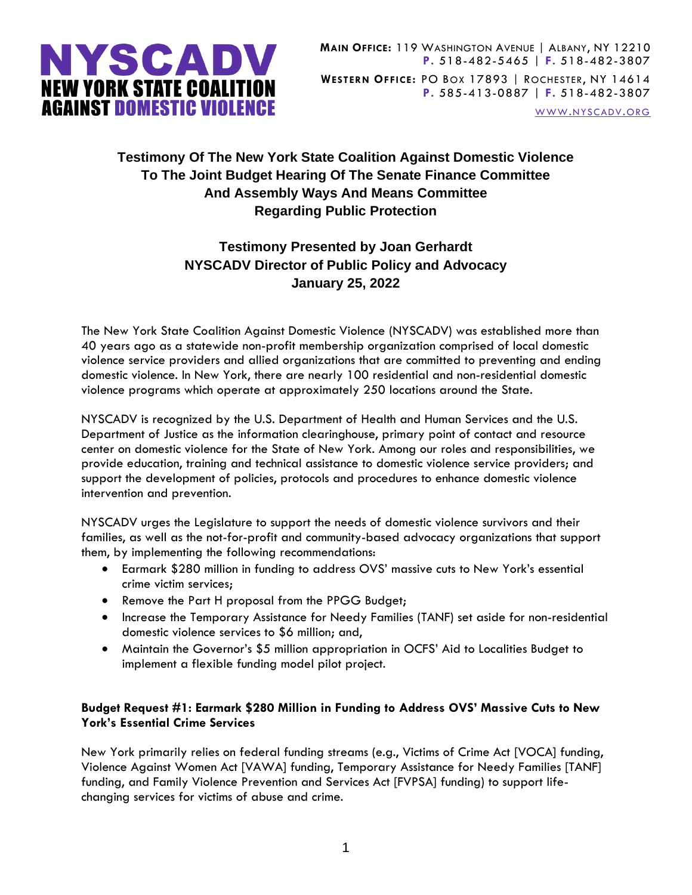

WWW.[NYSCADV](file://///server/data/Official%20Documents/NYSCADV%20Logo%20&%20Branding/2015%20Letterhead/www.nyscadv.org).ORG

## **Testimony Of The New York State Coalition Against Domestic Violence To The Joint Budget Hearing Of The Senate Finance Committee And Assembly Ways And Means Committee Regarding Public Protection**

# **Testimony Presented by Joan Gerhardt NYSCADV Director of Public Policy and Advocacy January 25, 2022**

The New York State Coalition Against Domestic Violence (NYSCADV) was established more than 40 years ago as a statewide non-profit membership organization comprised of local domestic violence service providers and allied organizations that are committed to preventing and ending domestic violence. In New York, there are nearly 100 residential and non-residential domestic violence programs which operate at approximately 250 locations around the State.

NYSCADV is recognized by the U.S. Department of Health and Human Services and the U.S. Department of Justice as the information clearinghouse, primary point of contact and resource center on domestic violence for the State of New York. Among our roles and responsibilities, we provide education, training and technical assistance to domestic violence service providers; and support the development of policies, protocols and procedures to enhance domestic violence intervention and prevention.

NYSCADV urges the Legislature to support the needs of domestic violence survivors and their families, as well as the not-for-profit and community-based advocacy organizations that support them, by implementing the following recommendations:

- Earmark \$280 million in funding to address OVS' massive cuts to New York's essential crime victim services;
- Remove the Part H proposal from the PPGG Budget;
- Increase the Temporary Assistance for Needy Families (TANF) set aside for non-residential domestic violence services to \$6 million; and,
- Maintain the Governor's \$5 million appropriation in OCFS' Aid to Localities Budget to implement a flexible funding model pilot project.

### **Budget Request #1: Earmark \$280 Million in Funding to Address OVS' Massive Cuts to New York's Essential Crime Services**

New York primarily relies on federal funding streams (e.g., Victims of Crime Act [VOCA] funding, Violence Against Women Act [VAWA] funding, Temporary Assistance for Needy Families [TANF] funding, and Family Violence Prevention and Services Act [FVPSA] funding) to support lifechanging services for victims of abuse and crime.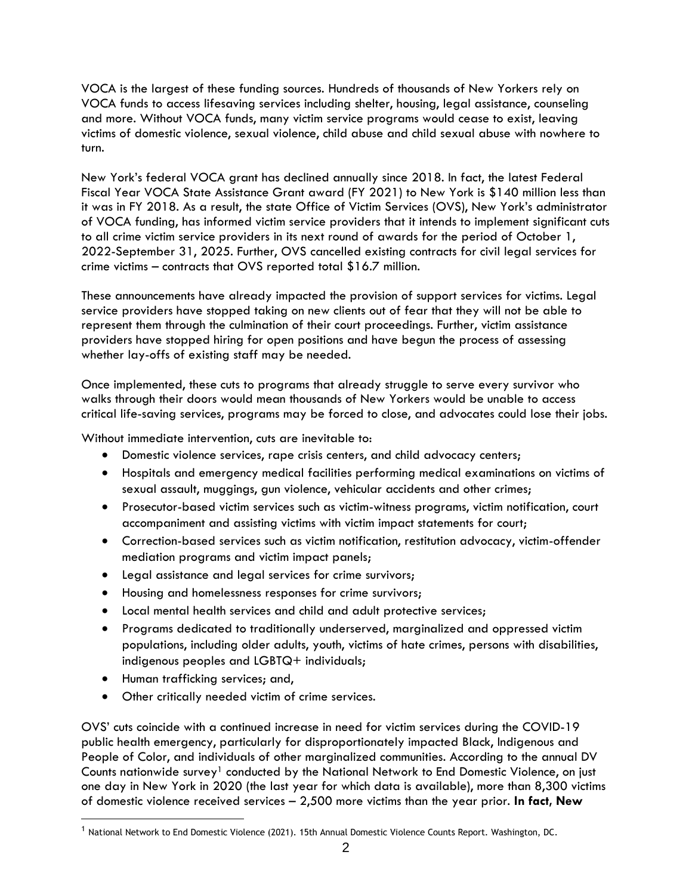VOCA is the largest of these funding sources. Hundreds of thousands of New Yorkers rely on VOCA funds to access lifesaving services including shelter, housing, legal assistance, counseling and more. Without VOCA funds, many victim service programs would cease to exist, leaving victims of domestic violence, sexual violence, child abuse and child sexual abuse with nowhere to turn.

New York's federal VOCA grant has declined annually since 2018. In fact, the latest Federal Fiscal Year VOCA State Assistance Grant award (FY 2021) to New York is \$140 million less than it was in FY 2018. As a result, the state Office of Victim Services (OVS), New York's administrator of VOCA funding, has informed victim service providers that it intends to implement significant cuts to all crime victim service providers in its next round of awards for the period of October 1, 2022-September 31, 2025. Further, OVS cancelled existing contracts for civil legal services for crime victims – contracts that OVS reported total \$16.7 million.

These announcements have already impacted the provision of support services for victims. Legal service providers have stopped taking on new clients out of fear that they will not be able to represent them through the culmination of their court proceedings. Further, victim assistance providers have stopped hiring for open positions and have begun the process of assessing whether lay-offs of existing staff may be needed.

Once implemented, these cuts to programs that already struggle to serve every survivor who walks through their doors would mean thousands of New Yorkers would be unable to access critical life-saving services, programs may be forced to close, and advocates could lose their jobs.

Without immediate intervention, cuts are inevitable to:

- Domestic violence services, rape crisis centers, and child advocacy centers;
- Hospitals and emergency medical facilities performing medical examinations on victims of sexual assault, muggings, gun violence, vehicular accidents and other crimes;
- Prosecutor-based victim services such as victim-witness programs, victim notification, court accompaniment and assisting victims with victim impact statements for court;
- Correction-based services such as victim notification, restitution advocacy, victim-offender mediation programs and victim impact panels;
- Legal assistance and legal services for crime survivors;
- Housing and homelessness responses for crime survivors;
- Local mental health services and child and adult protective services;
- Programs dedicated to traditionally underserved, marginalized and oppressed victim populations, including older adults, youth, victims of hate crimes, persons with disabilities, indigenous peoples and LGBTQ+ individuals;
- Human trafficking services; and,
- Other critically needed victim of crime services.

OVS' cuts coincide with a continued increase in need for victim services during the COVID-19 public health emergency, particularly for disproportionately impacted Black, Indigenous and People of Color, and individuals of other marginalized communities. According to the annual DV Counts nationwide survey<sup>1</sup> conducted by the National Network to End Domestic Violence, on just one day in New York in 2020 (the last year for which data is available), more than 8,300 victims of domestic violence received services – 2,500 more victims than the year prior. **In fact, New** 

<sup>&</sup>lt;sup>1</sup> National Network to End Domestic Violence (2021). 15th Annual Domestic Violence Counts Report. Washington, DC.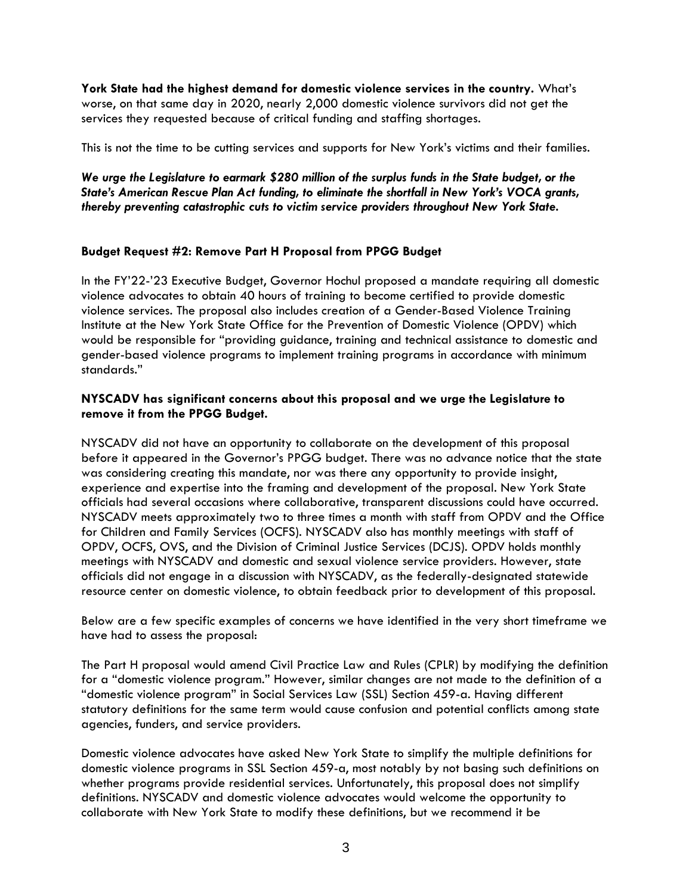**York State had the highest demand for domestic violence services in the country.** What's worse, on that same day in 2020, nearly 2,000 domestic violence survivors did not get the services they requested because of critical funding and staffing shortages.

This is not the time to be cutting services and supports for New York's victims and their families.

*We urge the Legislature to earmark \$280 million of the surplus funds in the State budget, or the State's American Rescue Plan Act funding, to eliminate the shortfall in New York's VOCA grants, thereby preventing catastrophic cuts to victim service providers throughout New York State.*

#### **Budget Request #2: Remove Part H Proposal from PPGG Budget**

In the FY'22-'23 Executive Budget, Governor Hochul proposed a mandate requiring all domestic violence advocates to obtain 40 hours of training to become certified to provide domestic violence services. The proposal also includes creation of a Gender-Based Violence Training Institute at the New York State Office for the Prevention of Domestic Violence (OPDV) which would be responsible for "providing guidance, training and technical assistance to domestic and gender-based violence programs to implement training programs in accordance with minimum standards."

#### **NYSCADV has significant concerns about this proposal and we urge the Legislature to remove it from the PPGG Budget.**

NYSCADV did not have an opportunity to collaborate on the development of this proposal before it appeared in the Governor's PPGG budget. There was no advance notice that the state was considering creating this mandate, nor was there any opportunity to provide insight, experience and expertise into the framing and development of the proposal. New York State officials had several occasions where collaborative, transparent discussions could have occurred. NYSCADV meets approximately two to three times a month with staff from OPDV and the Office for Children and Family Services (OCFS). NYSCADV also has monthly meetings with staff of OPDV, OCFS, OVS, and the Division of Criminal Justice Services (DCJS). OPDV holds monthly meetings with NYSCADV and domestic and sexual violence service providers. However, state officials did not engage in a discussion with NYSCADV, as the federally-designated statewide resource center on domestic violence, to obtain feedback prior to development of this proposal.

Below are a few specific examples of concerns we have identified in the very short timeframe we have had to assess the proposal:

The Part H proposal would amend Civil Practice Law and Rules (CPLR) by modifying the definition for a "domestic violence program." However, similar changes are not made to the definition of a "domestic violence program" in Social Services Law (SSL) Section 459-a. Having different statutory definitions for the same term would cause confusion and potential conflicts among state agencies, funders, and service providers.

Domestic violence advocates have asked New York State to simplify the multiple definitions for domestic violence programs in SSL Section 459-a, most notably by not basing such definitions on whether programs provide residential services. Unfortunately, this proposal does not simplify definitions. NYSCADV and domestic violence advocates would welcome the opportunity to collaborate with New York State to modify these definitions, but we recommend it be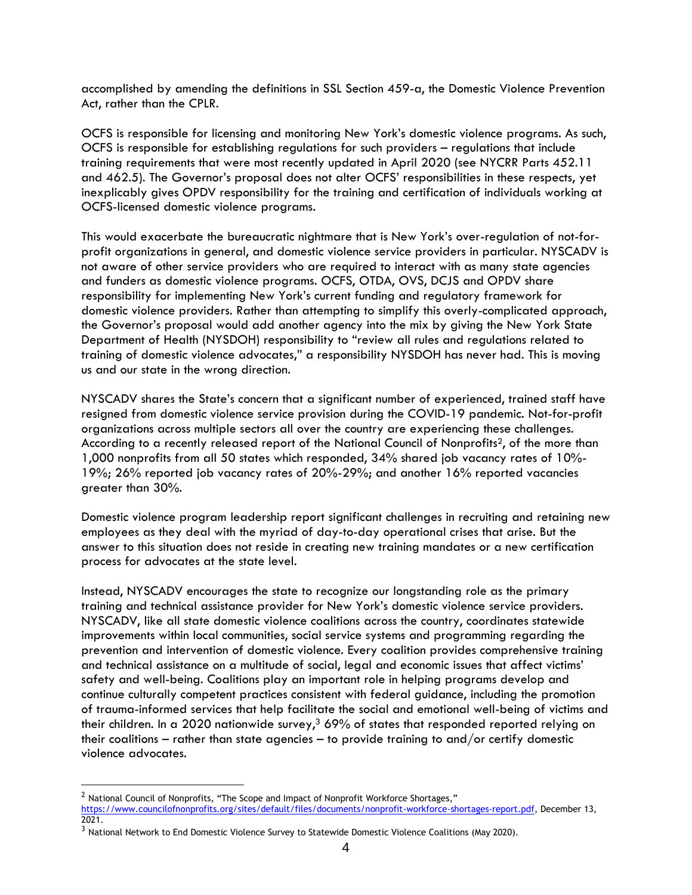accomplished by amending the definitions in SSL Section 459-a, the Domestic Violence Prevention Act, rather than the CPLR.

OCFS is responsible for licensing and monitoring New York's domestic violence programs. As such, OCFS is responsible for establishing regulations for such providers – regulations that include training requirements that were most recently updated in April 2020 (see NYCRR Parts 452.11 and 462.5). The Governor's proposal does not alter OCFS' responsibilities in these respects, yet inexplicably gives OPDV responsibility for the training and certification of individuals working at OCFS-licensed domestic violence programs.

This would exacerbate the bureaucratic nightmare that is New York's over-regulation of not-forprofit organizations in general, and domestic violence service providers in particular. NYSCADV is not aware of other service providers who are required to interact with as many state agencies and funders as domestic violence programs. OCFS, OTDA, OVS, DCJS and OPDV share responsibility for implementing New York's current funding and regulatory framework for domestic violence providers. Rather than attempting to simplify this overly-complicated approach, the Governor's proposal would add another agency into the mix by giving the New York State Department of Health (NYSDOH) responsibility to "review all rules and regulations related to training of domestic violence advocates," a responsibility NYSDOH has never had. This is moving us and our state in the wrong direction.

NYSCADV shares the State's concern that a significant number of experienced, trained staff have resigned from domestic violence service provision during the COVID-19 pandemic. Not-for-profit organizations across multiple sectors all over the country are experiencing these challenges. According to a recently released report of the National Council of Nonprofits<sup>2</sup>, of the more than 1,000 nonprofits from all 50 states which responded, 34% shared job vacancy rates of 10%- 19%; 26% reported job vacancy rates of 20%-29%; and another 16% reported vacancies greater than 30%.

Domestic violence program leadership report significant challenges in recruiting and retaining new employees as they deal with the myriad of day-to-day operational crises that arise. But the answer to this situation does not reside in creating new training mandates or a new certification process for advocates at the state level.

Instead, NYSCADV encourages the state to recognize our longstanding role as the primary training and technical assistance provider for New York's domestic violence service providers. NYSCADV, like all state domestic violence coalitions across the country, coordinates statewide improvements within local communities, social service systems and programming regarding the prevention and intervention of domestic violence. Every coalition provides comprehensive training and technical assistance on a multitude of social, legal and economic issues that affect victims' safety and well-being. Coalitions play an important role in helping programs develop and continue culturally competent practices consistent with federal guidance, including the promotion of trauma-informed services that help facilitate the social and emotional well-being of victims and their children. In a 2020 nationwide survey, $369\%$  of states that responded reported relying on their coalitions – rather than state agencies – to provide training to and/or certify domestic violence advocates.

<sup>&</sup>lt;sup>2</sup> National Council of Nonprofits, "The Scope and Impact of Nonprofit Workforce Shortages," [https://www.councilofnonprofits.org/sites/default/files/documents/nonprofit-workforce-shortages-report.pdf,](https://www.councilofnonprofits.org/sites/default/files/documents/nonprofit-workforce-shortages-report.pdf) December 13, 2021.

<sup>&</sup>lt;sup>3</sup> National Network to End Domestic Violence Survey to Statewide Domestic Violence Coalitions (May 2020).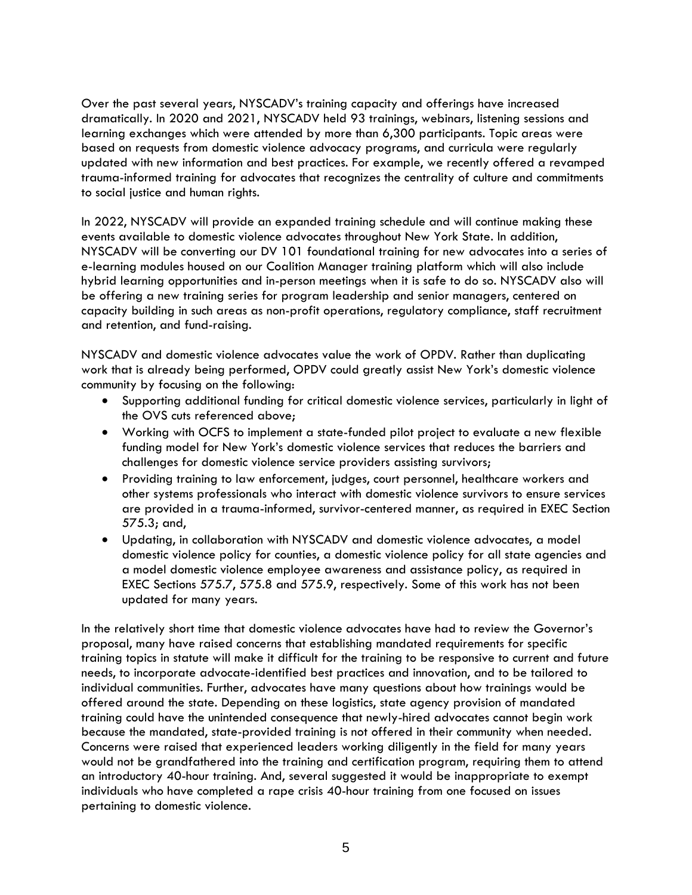Over the past several years, NYSCADV's training capacity and offerings have increased dramatically. In 2020 and 2021, NYSCADV held 93 trainings, webinars, listening sessions and learning exchanges which were attended by more than 6,300 participants. Topic areas were based on requests from domestic violence advocacy programs, and curricula were regularly updated with new information and best practices. For example, we recently offered a revamped trauma-informed training for advocates that recognizes the centrality of culture and commitments to social justice and human rights.

In 2022, NYSCADV will provide an expanded training schedule and will continue making these events available to domestic violence advocates throughout New York State. In addition, NYSCADV will be converting our DV 101 foundational training for new advocates into a series of e-learning modules housed on our Coalition Manager training platform which will also include hybrid learning opportunities and in-person meetings when it is safe to do so. NYSCADV also will be offering a new training series for program leadership and senior managers, centered on capacity building in such areas as non-profit operations, regulatory compliance, staff recruitment and retention, and fund-raising.

NYSCADV and domestic violence advocates value the work of OPDV. Rather than duplicating work that is already being performed, OPDV could greatly assist New York's domestic violence community by focusing on the following:

- Supporting additional funding for critical domestic violence services, particularly in light of the OVS cuts referenced above;
- Working with OCFS to implement a state-funded pilot project to evaluate a new flexible funding model for New York's domestic violence services that reduces the barriers and challenges for domestic violence service providers assisting survivors;
- Providing training to law enforcement, judges, court personnel, healthcare workers and other systems professionals who interact with domestic violence survivors to ensure services are provided in a trauma-informed, survivor-centered manner, as required in EXEC Section 575.3; and,
- Updating, in collaboration with NYSCADV and domestic violence advocates, a model domestic violence policy for counties, a domestic violence policy for all state agencies and a model domestic violence employee awareness and assistance policy, as required in EXEC Sections 575.7, 575.8 and 575.9, respectively. Some of this work has not been updated for many years.

In the relatively short time that domestic violence advocates have had to review the Governor's proposal, many have raised concerns that establishing mandated requirements for specific training topics in statute will make it difficult for the training to be responsive to current and future needs, to incorporate advocate-identified best practices and innovation, and to be tailored to individual communities. Further, advocates have many questions about how trainings would be offered around the state. Depending on these logistics, state agency provision of mandated training could have the unintended consequence that newly-hired advocates cannot begin work because the mandated, state-provided training is not offered in their community when needed. Concerns were raised that experienced leaders working diligently in the field for many years would not be grandfathered into the training and certification program, requiring them to attend an introductory 40-hour training. And, several suggested it would be inappropriate to exempt individuals who have completed a rape crisis 40-hour training from one focused on issues pertaining to domestic violence.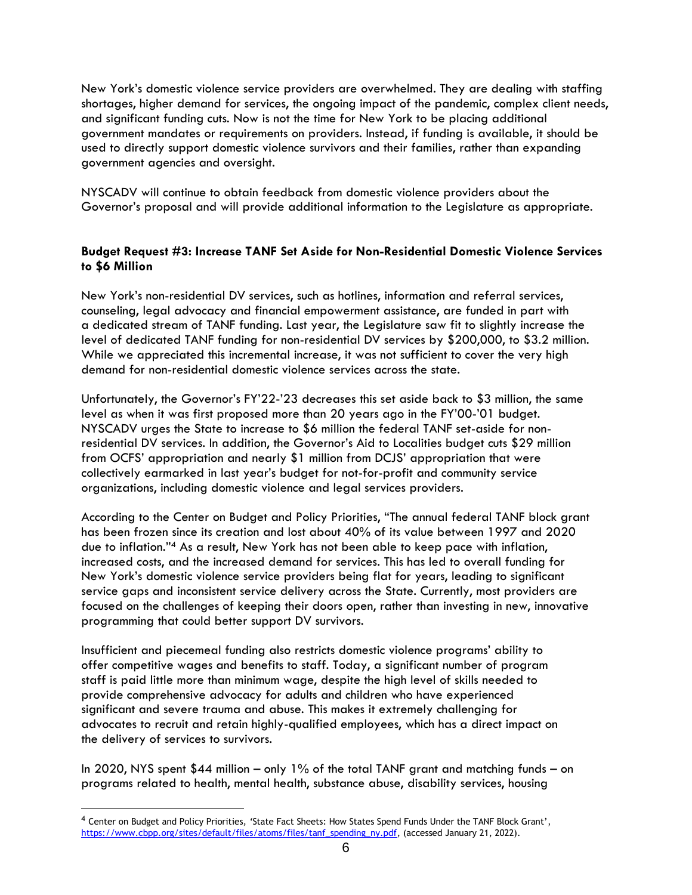New York's domestic violence service providers are overwhelmed. They are dealing with staffing shortages, higher demand for services, the ongoing impact of the pandemic, complex client needs, and significant funding cuts. Now is not the time for New York to be placing additional government mandates or requirements on providers. Instead, if funding is available, it should be used to directly support domestic violence survivors and their families, rather than expanding government agencies and oversight.

NYSCADV will continue to obtain feedback from domestic violence providers about the Governor's proposal and will provide additional information to the Legislature as appropriate.

### **Budget Request #3: Increase TANF Set Aside for Non-Residential Domestic Violence Services to \$6 Million**

New York's non-residential DV services, such as hotlines, information and referral services, counseling, legal advocacy and financial empowerment assistance, are funded in part with a dedicated stream of TANF funding. Last year, the Legislature saw fit to slightly increase the level of dedicated TANF funding for non-residential DV services by \$200,000, to \$3.2 million. While we appreciated this incremental increase, it was not sufficient to cover the very high demand for non-residential domestic violence services across the state.

Unfortunately, the Governor's FY'22-'23 decreases this set aside back to \$3 million, the same level as when it was first proposed more than 20 years ago in the FY'00-'01 budget. NYSCADV urges the State to increase to \$6 million the federal TANF set-aside for nonresidential DV services. In addition, the Governor's Aid to Localities budget cuts \$29 million from OCFS' appropriation and nearly \$1 million from DCJS' appropriation that were collectively earmarked in last year's budget for not-for-profit and community service organizations, including domestic violence and legal services providers.

According to the Center on Budget and Policy Priorities, "The annual federal TANF block grant has been frozen since its creation and lost about 40% of its value between 1997 and 2020 due to inflation." <sup>4</sup> As a result, New York has not been able to keep pace with inflation, increased costs, and the increased demand for services. This has led to overall funding for New York's domestic violence service providers being flat for years, leading to significant service gaps and inconsistent service delivery across the State. Currently, most providers are focused on the challenges of keeping their doors open, rather than investing in new, innovative programming that could better support DV survivors.

Insufficient and piecemeal funding also restricts domestic violence programs' ability to offer competitive wages and benefits to staff. Today, a significant number of program staff is paid little more than minimum wage, despite the high level of skills needed to provide comprehensive advocacy for adults and children who have experienced significant and severe trauma and abuse. This makes it extremely challenging for advocates to recruit and retain highly-qualified employees, which has a direct impact on the delivery of services to survivors.

In 2020, NYS spent \$44 million – only 1% of the total TANF grant and matching funds – on programs related to health, mental health, substance abuse, disability services, housing

<sup>4</sup> Center on Budget and Policy Priorities*, '*State Fact Sheets: How States Spend Funds Under the TANF Block Grant', [https://www.cbpp.org/sites/default/files/atoms/files/tanf\\_spending\\_ny.pdf,](https://www.cbpp.org/sites/default/files/atoms/files/tanf_spending_ny.pdf) (accessed January 21, 2022).